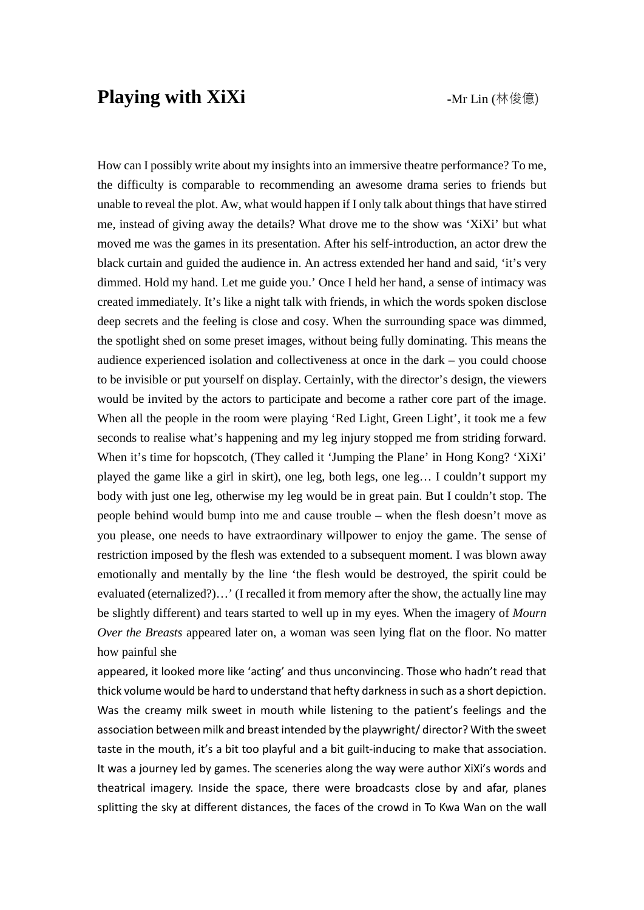## **Playing with XiXi**  $\qquad \qquad \text{Mr Lin (林俊億)}$

How can I possibly write about my insights into an immersive theatre performance? To me, the difficulty is comparable to recommending an awesome drama series to friends but unable to reveal the plot. Aw, what would happen if I only talk about things that have stirred me, instead of giving away the details? What drove me to the show was 'XiXi' but what moved me was the games in its presentation. After his self-introduction, an actor drew the black curtain and guided the audience in. An actress extended her hand and said, 'it's very dimmed. Hold my hand. Let me guide you.' Once I held her hand, a sense of intimacy was created immediately. It's like a night talk with friends, in which the words spoken disclose deep secrets and the feeling is close and cosy. When the surrounding space was dimmed, the spotlight shed on some preset images, without being fully dominating. This means the audience experienced isolation and collectiveness at once in the dark – you could choose to be invisible or put yourself on display. Certainly, with the director's design, the viewers would be invited by the actors to participate and become a rather core part of the image. When all the people in the room were playing 'Red Light, Green Light', it took me a few seconds to realise what's happening and my leg injury stopped me from striding forward. When it's time for hopscotch, (They called it 'Jumping the Plane' in Hong Kong? 'XiXi' played the game like a girl in skirt), one leg, both legs, one leg… I couldn't support my body with just one leg, otherwise my leg would be in great pain. But I couldn't stop. The people behind would bump into me and cause trouble – when the flesh doesn't move as you please, one needs to have extraordinary willpower to enjoy the game. The sense of restriction imposed by the flesh was extended to a subsequent moment. I was blown away emotionally and mentally by the line 'the flesh would be destroyed, the spirit could be evaluated (eternalized?)…' (I recalled it from memory after the show, the actually line may be slightly different) and tears started to well up in my eyes. When the imagery of *Mourn Over the Breasts* appeared later on, a woman was seen lying flat on the floor. No matter how painful she

appeared, it looked more like 'acting' and thus unconvincing. Those who hadn't read that thick volume would be hard to understand that hefty darkness in such as a short depiction. Was the creamy milk sweet in mouth while listening to the patient's feelings and the association between milk and breast intended by the playwright/ director? With the sweet taste in the mouth, it's a bit too playful and a bit guilt-inducing to make that association. It was a journey led by games. The sceneries along the way were author XiXi's words and theatrical imagery. Inside the space, there were broadcasts close by and afar, planes splitting the sky at different distances, the faces of the crowd in To Kwa Wan on the wall